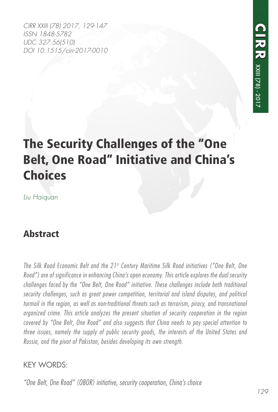*CIRR XXIII (78) 2017, 129-147 ISSN 1848-5782 UDC 327.56(510) DOI 10.1515/cirr-2017-0010*

# The Security Challenges of the "One Belt, One Road" Initiative and China's **Choices**

*Liu Haiquan*

# Abstract

*The Silk Road Economic Belt and the 21st Century Maritime Silk Road initiatives ("One Belt, One Road") are of significance in enhancing China's open economy. This article explores the dual security challenges faced by the "One Belt, One Road" initiative. These challenges include both traditional security challenges, such as great power competition, territorial and island disputes, and political turmoil in the region, as well as non-traditional threats such as terrorism, piracy, and transnational organized crime. This article analyzes the present situation of security cooperation in the region covered by "One Belt, One Road" and also suggests that China needs to pay special attention to three issues, namely the supply of public security goods, the interests of the United States and Russia, and the pivot of Pakistan, besides developing its own strength.*

### KEY WORDS:

*"One Belt, One Road" (OBOR) initiative, security cooperation, China's choice*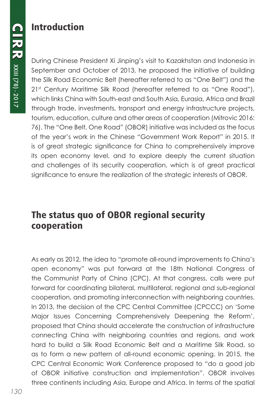# Introduction

During Chinese President Xi Jinping's visit to Kazakhstan and Indonesia in September and October of 2013, he proposed the initiative of building the Silk Road Economic Belt (hereafter referred to as "One Belt") and the 21<sup>st</sup> Century Maritime Silk Road (hereafter referred to as "One Road"), which links China with South-east and South Asia, Eurasia, Africa and Brazil through trade, investments, transport and energy infrastructure projects, tourism, education, culture and other areas of cooperation (Mitrovic 2016: 76). The "One Belt, One Road" (OBOR) initiative was included as the focus of the year's work in the Chinese "Government Work Report" in 2015. It is of great strategic significance for China to comprehensively improve its open economy level, and to explore deeply the current situation and challenges of its security cooperation, which is of great practical significance to ensure the realization of the strategic interests of OBOR.

### The status quo of OBOR regional security cooperation

As early as 2012, the idea to "promote all-round improvements to China's open economy" was put forward at the 18th National Congress of the Communist Party of China (CPC). At that congress, calls were put forward for coordinating bilateral, multilateral, regional and sub-regional cooperation, and promoting interconnection with neighboring countries. In 2013, the decision of the CPC Central Committee (CPCCC) on 'Some Major Issues Concerning Comprehensively Deepening the Reform', proposed that China should accelerate the construction of infrastructure connecting China with neighboring countries and regions, and work hard to build a Silk Road Economic Belt and a Maritime Silk Road, so as to form a new pattern of all-round economic opening. In 2015, the CPC Central Economic Work Conference proposed to "do a good job of OBOR initiative construction and implementation". OBOR involves three continents including Asia, Europe and Africa. In terms of the spatial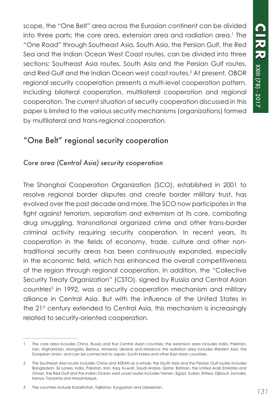scope, the "One Belt" area across the Eurasian continent can be divided into three parts: the core area, extension area and radiation area.<sup>1</sup> The "One Road" through Southeast Asia, South Asia, the Persian Gulf, the Red Sea and the Indian Ocean West Coast routes, can be divided into three sections: Southeast Asia routes, South Asia and the Persian Gulf routes, and Red Gulf and the Indian Ocean west coast routes.2 At present, OBOR regional security cooperation presents a multi-level cooperation pattern, including bilateral cooperation, multilateral cooperation and regional cooperation. The current situation of security cooperation discussed in this paper is limited to the various security mechanisms (organizations) formed by multilateral and trans-regional cooperation.

### "One Belt" regional security cooperation

### *Core area (Central Asia) security cooperation*

The Shanghai Cooperation Organization (SCO), established in 2001 to resolve regional border disputes and create border military trust, has evolved over the past decade and more. The SCO now participates in the fight against terrorism, separatism and extremism at its core, combating drug smuggling, transnational organized crime and other trans-border criminal activity requiring security cooperation. In recent years, its cooperation in the fields of economy, trade, culture and other nontraditional security areas has been continuously expanded, especially in the economic field, which has enhanced the overall competitiveness of the region through regional cooperation. In addition, the "Collective Security Treaty Organization" (CSTO), signed by Russia and Central Asian countries<sup>3</sup> in 1992, was a security cooperation mechanism and military alliance in Central Asia. But with the influence of the United States in the 21<sup>st</sup> century extended to Central Asia, this mechanism is increasingly related to security-oriented cooperation.

<sup>1</sup> The core area includes China, Russia and five Central Asian countries; the extension area includes India, Pakistan, Iran, Afghanistan, Mongolia, Belarus, Armenia, Ukraine and Moldova; the radiation area includes Western Asia, the European Union, and can be connected to Japan, South Korea and other East Asian countries.

<sup>2</sup> The Southeast Asia routes includes China and ASEAN as a whole; the South Asia and the Persian Gulf routes includes Bangladesh, Sri Lanka, India, Pakistan, Iran, Iraq, Kuwait, Saudi Arabia, Qatar, Bahrain, the United Arab Emirates and Oman; the Red Gulf and the Indian Ocean west coast routes includes Yemen, Egypt, Sudan, Eritrea, Djibouti, Somalia, Kenya, Tanzania and Mozambique.

<sup>3</sup> The countries include Kazakhstan, Tajikistan, Kyrgyzstan and Uzbekistan.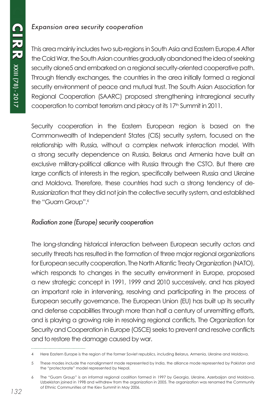#### *Expansion area security cooperation*

This area mainly includes two sub-regions in South Asia and Eastern Europe.4 After the Cold War, the South Asian countries gradually abandoned the idea of seeking security alone5 and embarked on a regional security-oriented cooperative path. Through friendly exchanges, the countries in the area initially formed a regional security environment of peace and mutual trust. The South Asian Association for Regional Cooperation (SAARC) proposed strengthening intraregional security cooperation to combat terrorism and piracy at its 17<sup>th</sup> Summit in 2011.

Security cooperation in the Eastern European region is based on the Commonwealth of Independent States (CIS) security system, focused on the relationship with Russia, without a complex network interaction model. With a strong security dependence on Russia, Belarus and Armenia have built an exclusive military-political alliance with Russia through the CSTO. But there are large conflicts of interests in the region, specifically between Russia and Ukraine and Moldova. Therefore, these countries had such a strong tendency of de-Russianization that they did not join the collective security system, and established the "Guam Group".6

#### *Radiation zone (Europe) security cooperation*

The long-standing historical interaction between European security actors and security threats has resulted in the formation of three major regional organizations for European security cooperation. The North Atlantic Treaty Organization (NATO), which responds to changes in the security environment in Europe, proposed a new strategic concept in 1991, 1999 and 2010 successively, and has played an important role in intervening, resolving and participating in the process of European security governance. The European Union (EU) has built up its security and defense capabilities through more than half a century of unremitting efforts, and is playing a growing role in resolving regional conflicts. The Organization for Security and Cooperation in Europe (OSCE) seeks to prevent and resolve conflicts and to restore the damage caused by war.

<sup>4</sup> Here Eastern Europe is the region of the former Soviet republics, including Belarus, Armenia, Ukraine and Moldova.

<sup>5</sup> These modes include the nonalignment mode represented by India, the alliance mode represented by Pakistan and the "protectorate" model represented by Nepal.

<sup>6</sup> The "Guam Group" is an informal regional coalition formed in 1997 by Georgia, Ukraine, Azerbaijan and Moldova. Uzbekistan joined in 1998 and withdrew from the organization in 2005. The organization was renamed the Community of Ethnic Communities at the Kiev Summit in May 2006.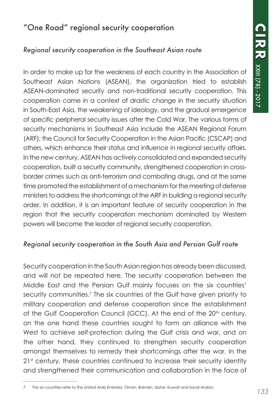### "One Road" regional security cooperation

### *Regional security cooperation in the Southeast Asian route*

In order to make up for the weakness of each country in the Association of Southeast Asian Nations (ASEAN), the organization tried to establish ASEAN-dominated security and non-traditional security cooperation. This cooperation came in a context of drastic change in the security situation in South-East Asia, the weakening of ideology, and the gradual emergence of specific peripheral security issues after the Cold War. The various forms of security mechanisms in Southeast Asia include the ASEAN Regional Forum (ARF); the Council for Security Cooperation in the Asian Pacific (CSCAP) and others, which enhance their status and influence in regional security affairs. In the new century, ASEAN has actively consolidated and expanded security cooperation, built a security community, strengthened cooperation in crossborder crimes such as anti-terrorism and combating drugs, and at the same time promoted the establishment of a mechanism for the meeting of defense ministers to address the shortcomings of the ARF in building a regional security order. In addition, it is an important feature of security cooperation in the region that the security cooperation mechanism dominated by Western powers will become the leader of regional security cooperation.

#### *Regional security cooperation in the South Asia and Persian Gulf route*

Security cooperation in the South Asian region has already been discussed, and will not be repeated here. The security cooperation between the Middle East and the Persian Gulf mainly focuses on the six countries' security communities.7 The six countries of the Gulf have given priority to military cooperation and defense cooperation since the establishment of the Gulf Cooperation Council (GCC). At the end of the 20<sup>th</sup> century, on the one hand these countries sought to form an alliance with the West to achieve self-protection during the Gulf crisis and war, and on the other hand, they continued to strengthen security cooperation amongst themselves to remedy their shortcomings after the war. In the 2<sup>1st</sup> century, these countries continued to increase their security identity and strengthened their communication and collaboration in the face of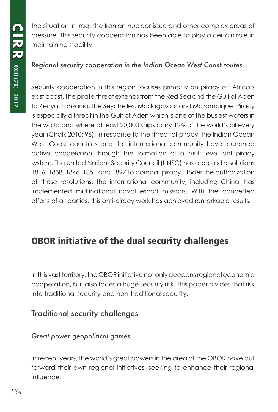the situation in Iraq, the Iranian nuclear issue and other complex areas of pressure. This security cooperation has been able to play a certain role in maintaining stability.

#### *Regional security cooperation in the Indian Ocean West Coast routes*

Security cooperation in this region focuses primarily on piracy off Africa's east coast. The pirate threat extends from the Red Sea and the Gulf of Aden to Kenya, Tanzania, the Seychelles, Madagascar and Mozambique. Piracy is especially a threat in the Gulf of Aden which is one of the busiest waters in the world and where at least 20,000 ships carry 12% of the world's oil every year (Chalk 2010: 96). In response to the threat of piracy, the Indian Ocean West Coast countries and the international community have launched active cooperation through the formation of a multi-level anti-piracy system. The United Nations Security Council (UNSC) has adopted resolutions 1816, 1838, 1846, 1851 and 1897 to combat piracy. Under the authorization of these resolutions, the international community, including China, has implemented multinational naval escort missions. With the concerted efforts of all parties, this anti-piracy work has achieved remarkable results.

# OBOR initiative of the dual security challenges

In this vast territory, the OBOR initiative not only deepens regional economic cooperation, but also faces a huge security risk. This paper divides that risk into traditional security and non-traditional security.

### Traditional security challenges

### *Great power geopolitical games*

In recent years, the world's great powers in the area of the OBOR have put forward their own regional initiatives, seeking to enhance their regional influence.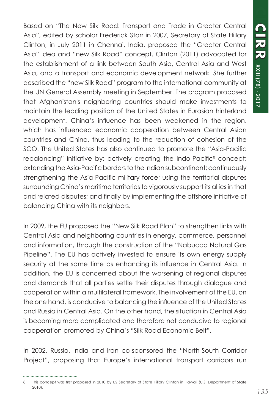Based on "The New Silk Road: Transport and Trade in Greater Central Asia", edited by scholar Frederick Starr in 2007, Secretary of State Hillary Clinton, in July 2011 in Chennai, India, proposed the "Greater Central Asia" idea and "new Silk Road" concept. Clinton (2011) advocated for the establishment of a link between South Asia, Central Asia and West Asia, and a transport and economic development network. She further described the "new Silk Road" program to the international community at the UN General Assembly meeting in September. The program proposed that Afghanistan's neighboring countries should make investments to maintain the leading position of the United States in Eurasian hinterland development. China's influence has been weakened in the region, which has influenced economic cooperation between Central Asian countries and China, thus leading to the reduction of cohesion of the SCO. The United States has also continued to promote the "Asia-Pacific rebalancing" initiative by: actively creating the Indo-Pacific<sup>8</sup> concept; extending the Asia-Pacific borders to the Indian subcontinent; continuously strengthening the Asia-Pacific military force; using the territorial disputes surrounding China's maritime territories to vigorously support its allies in that and related disputes; and finally by implementing the offshore initiative of balancing China with its neighbors.

In 2009, the EU proposed the "New Silk Road Plan" to strengthen links with Central Asia and neighboring countries in energy, commerce, personnel and information, through the construction of the "Nabucca Natural Gas Pipeline". The EU has actively invested to ensure its own energy supply security at the same time as enhancing its influence in Central Asia. In addition, the EU is concerned about the worsening of regional disputes and demands that all parties settle their disputes through dialogue and cooperation within a multilateral framework. The involvement of the EU, on the one hand, is conducive to balancing the influence of the United States and Russia in Central Asia. On the other hand, the situation in Central Asia is becoming more complicated and therefore not conducive to regional cooperation promoted by China's "Silk Road Economic Belt".

In 2002, Russia, India and Iran co-sponsored the "North-South Corridor Project", proposing that Europe's international transport corridors run

<sup>8</sup> This concept was first proposed in 2010 by US Secretary of State Hillary Clinton in Hawaii (U.S. Department of State

<sup>2010).</sup>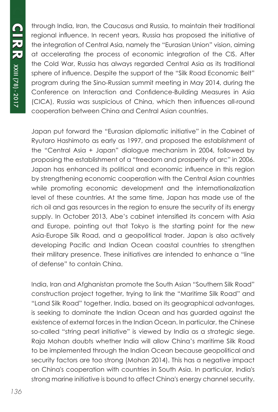through India, Iran, the Caucasus and Russia, to maintain their traditional regional influence. In recent years, Russia has proposed the initiative of the integration of Central Asia, namely the "Eurasian Union" vision, aiming at accelerating the process of economic integration of the CIS. After the Cold War, Russia has always regarded Central Asia as its traditional sphere of influence. Despite the support of the "Silk Road Economic Belt" program during the Sino-Russian summit meeting in May 2014, during the Conference on Interaction and Confidence-Building Measures in Asia (CICA), Russia was suspicious of China, which then influences all-round cooperation between China and Central Asian countries.

Japan put forward the "Eurasian diplomatic initiative" in the Cabinet of Ryutaro Hashimoto as early as 1997, and proposed the establishment of the "Central Asia + Japan" dialogue mechanism in 2004, followed by proposing the establishment of a "freedom and prosperity of arc" in 2006. Japan has enhanced its political and economic influence in this region by strengthening economic cooperation with the Central Asian countries while promoting economic development and the internationalization level of these countries. At the same time, Japan has made use of the rich oil and gas resources in the region to ensure the security of its energy supply. In October 2013, Abe's cabinet intensified its concern with Asia and Europe, pointing out that Tokyo is the starting point for the new Asia-Europe Silk Road, and a geopolitical trader. Japan is also actively developing Pacific and Indian Ocean coastal countries to strengthen their military presence. These initiatives are intended to enhance a "line of defense" to contain China.

India, Iran and Afghanistan promote the South Asian "Southern Silk Road" construction project together, trying to link the "Maritime Silk Road" and "Land Silk Road" together. India, based on its geographical advantages, is seeking to dominate the Indian Ocean and has guarded against the existence of external forces in the Indian Ocean. In particular, the Chinese so-called "string pearl initiative" is viewed by India as a strategic siege. Raja Mohan doubts whether India will allow China's maritime Silk Road to be implemented through the Indian Ocean because geopolitical and security factors are too strong (Mohan 2014). This has a negative impact on China's cooperation with countries in South Asia. In particular, India's strong marine initiative is bound to affect China's energy channel security.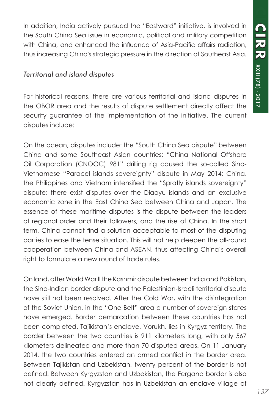In addition, India actively pursued the "Eastward" initiative, is involved in the South China Sea issue in economic, political and military competition with China, and enhanced the influence of Asia-Pacific affairs radiation, thus increasing China's strategic pressure in the direction of Southeast Asia.

#### *Territorial and island disputes*

For historical reasons, there are various territorial and island disputes in the OBOR area and the results of dispute settlement directly affect the security guarantee of the implementation of the initiative. The current disputes include:

On the ocean, disputes include: the "South China Sea dispute" between China and some Southeast Asian countries; "China National Offshore Oil Corporation (CNOOC) 981" drilling rig caused the so-called Sino-Vietnamese "Paracel islands sovereignty" dispute in May 2014; China, the Philippines and Vietnam intensified the "Spratly islands sovereignty" dispute; there exist disputes over the Diaoyu islands and an exclusive economic zone in the East China Sea between China and Japan. The essence of these maritime disputes is the dispute between the leaders of regional order and their followers, and the rise of China. In the short term, China cannot find a solution acceptable to most of the disputing parties to ease the tense situation. This will not help deepen the all-round cooperation between China and ASEAN, thus affecting China's overall right to formulate a new round of trade rules.

On land, after World War II the Kashmir dispute between India and Pakistan, the Sino-Indian border dispute and the Palestinian-Israeli territorial dispute have still not been resolved. After the Cold War, with the disintegration of the Soviet Union, in the "One Belt" area a number of sovereign states have emerged. Border demarcation between these countries has not been completed. Tajikistan's enclave, Vorukh, lies in Kyrgyz territory. The border between the two countries is 911 kilometers long, with only 567 kilometers delineated and more than 70 disputed areas. On 11 January 2014, the two countries entered an armed conflict in the border area. Between Tajikistan and Uzbekistan, twenty percent of the border is not defined. Between Kyrgyzstan and Uzbekistan, the Fergana border is also not clearly defined. Kyrgyzstan has in Uzbekistan an enclave village of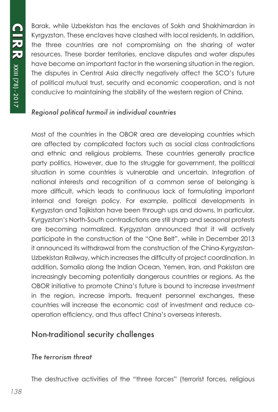Barak, while Uzbekistan has the enclaves of Sokh and Shakhimardan in Kyrgyzstan. These enclaves have clashed with local residents. In addition, the three countries are not compromising on the sharing of water resources. These border territories, enclave disputes and water disputes have become an important factor in the worsening situation in the region. The disputes in Central Asia directly negatively affect the SCO's future of political mutual trust, security and economic cooperation, and is not conducive to maintaining the stability of the western region of China.

### *Regional political turmoil in individual countries*

Most of the countries in the OBOR area are developing countries which are affected by complicated factors such as social class contradictions and ethnic and religious problems. These countries generally practice party politics. However, due to the struggle for government, the political situation in some countries is vulnerable and uncertain. Integration of national interests and recognition of a common sense of belonging is more difficult, which leads to continuous lack of formulating important internal and foreign policy. For example, political developments in Kyrgyzstan and Tajikistan have been through ups and downs. In particular, Kyrgyzstan's North-South contradictions are still sharp and seasonal protests are becoming normalized. Kyrgyzstan announced that it will actively participate in the construction of the "One Belt", while in December 2013 it announced its withdrawal from the construction of the China-Kyrgyzstan-Uzbekistan Railway, which increases the difficulty of project coordination. In addition, Somalia along the Indian Ocean, Yemen, Iran, and Pakistan are increasingly becoming potentially dangerous countries or regions. As the OBOR initiative to promote China's future is bound to increase investment in the region, increase imports, frequent personnel exchanges, these countries will increase the economic cost of investment and reduce cooperation efficiency, and thus affect China's overseas interests.

### Non-traditional security challenges

### *The terrorism threat*

The destructive activities of the "three forces" (terrorist forces, religious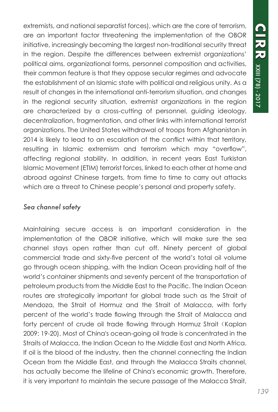extremists, and national separatist forces), which are the core of terrorism, are an important factor threatening the implementation of the OBOR initiative, increasingly becoming the largest non-traditional security threat in the region. Despite the differences between extremist organizations' political aims, organizational forms, personnel composition and activities, their common feature is that they oppose secular regimes and advocate the establishment of an Islamic state with political and religious unity. As a result of changes in the international anti-terrorism situation, and changes in the regional security situation, extremist organizations in the region are characterized by a cross-cutting of personnel, guiding ideology, decentralization, fragmentation, and other links with international terrorist organizations. The United States withdrawal of troops from Afghanistan in 2014 is likely to lead to an escalation of the conflict within that territory, resulting in Islamic extremism and terrorism which may "overflow", affecting regional stability. In addition, in recent years East Turkistan Islamic Movement (ETIM) terrorist forces, linked to each other at home and abroad against Chinese targets, from time to time to carry out attacks which are a threat to Chinese people's personal and property safety.

#### *Sea channel safety*

Maintaining secure access is an important consideration in the implementation of the OBOR initiative, which will make sure the sea channel stays open rather than cut off. Ninety percent of global commercial trade and sixty-five percent of the world's total oil volume go through ocean shipping, with the Indian Ocean providing half of the world's container shipments and seventy percent of the transportation of petroleum products from the Middle East to the Pacific. The Indian Ocean routes are strategically important for global trade such as the Strait of Mendoza, the Strait of Hormuz and the Strait of Malacca, with forty percent of the world's trade flowing through the Strait of Malacca and forty percent of crude oil trade flowing through Hormuz Strait (Kaplan 2009: 19-20). Most of China's ocean-going oil trade is concentrated in the Straits of Malacca, the Indian Ocean to the Middle East and North Africa. If oil is the blood of the industry, then the channel connecting the Indian Ocean from the Middle East, and through the Malacca Straits channel, has actually become the lifeline of China's economic growth. Therefore, it is very important to maintain the secure passage of the Malacca Strait,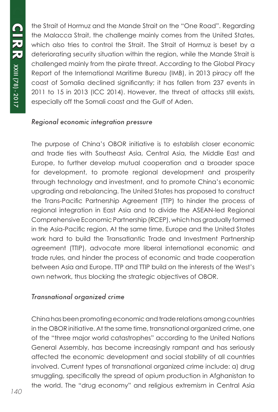the Strait of Hormuz and the Mande Strait on the "One Road". Regarding the Malacca Strait, the challenge mainly comes from the United States, which also tries to control the Strait. The Strait of Hormuz is beset by a deteriorating security situation within the region, while the Mande Strait is challenged mainly from the pirate threat. According to the Global Piracy Report of the International Maritime Bureau (IMB), in 2013 piracy off the coast of Somalia declined significantly; it has fallen from 237 events in 2011 to 15 in 2013 (ICC 2014). However, the threat of attacks still exists, especially off the Somali coast and the Gulf of Aden.

#### *Regional economic integration pressure*

The purpose of China's OBOR initiative is to establish closer economic and trade ties with Southeast Asia, Central Asia, the Middle East and Europe, to further develop mutual cooperation and a broader space for development, to promote regional development and prosperity through technology and investment, and to promote China's economic upgrading and rebalancing. The United States has proposed to construct the Trans-Pacific Partnership Agreement (TTP) to hinder the process of regional integration in East Asia and to divide the ASEAN-led Regional Comprehensive Economic Partnership (RCEP), which has gradually formed in the Asia-Pacific region. At the same time, Europe and the United States work hard to build the Transatlantic Trade and Investment Partnership agreement (TTIP), advocate more liberal international economic and trade rules, and hinder the process of economic and trade cooperation between Asia and Europe. TTP and TTIP build on the interests of the West's own network, thus blocking the strategic objectives of OBOR.

#### *Transnational organized crime*

China has been promoting economic and trade relations among countries in the OBOR initiative. At the same time, transnational organized crime, one of the "three major world catastrophes" according to the United Nations General Assembly, has become increasingly rampant and has seriously affected the economic development and social stability of all countries involved. Current types of transnational organized crime include: a) drug smuggling, specifically the spread of opium production in Afghanistan to the world. The "drug economy" and religious extremism in Central Asia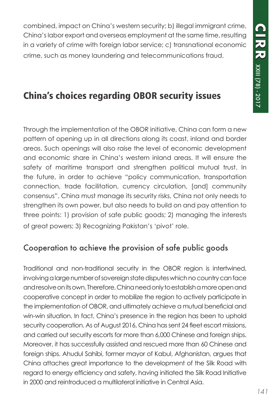combined, impact on China's western security; b) illegal immigrant crime, China's labor export and overseas employment at the same time, resulting in a variety of crime with foreign labor service; c) transnational economic crime, such as money laundering and telecommunications fraud.

# China's choices regarding OBOR security issues

Through the implementation of the OBOR initiative, China can form a new pattern of opening up in all directions along its coast, inland and border areas. Such openings will also raise the level of economic development and economic share in China's western inland areas. It will ensure the safety of maritime transport and strengthen political mutual trust. In the future, in order to achieve "policy communication, transportation connection, trade facilitation, currency circulation, [and] community consensus", China must manage its security risks, China not only needs to strengthen its own power, but also needs to build on and pay attention to three points: 1) provision of safe public goods; 2) managing the interests of great powers; 3) Recognizing Pakistan's 'pivot' role.

### Cooperation to achieve the provision of safe public goods

Traditional and non-traditional security in the OBOR region is intertwined, involving a large number of sovereign state disputes which no country can face and resolve on its own. Therefore, China need only to establish a more open and cooperative concept in order to mobilize the region to actively participate in the implementation of OBOR, and ultimately achieve a mutual beneficial and win-win situation. In fact, China's presence in the region has been to uphold security cooperation. As of August 2016, China has sent 24 fleet escort missions, and carried out security escorts for more than 6,000 Chinese and foreign ships. Moreover, it has successfully assisted and rescued more than 60 Chinese and foreign ships. Ahudul Sahibi, former mayor of Kabul, Afghanistan, argues that China attaches great importance to the development of the Silk Road with regard to energy efficiency and safety, having initiated the Silk Road Initiative in 2000 and reintroduced a multilateral initiative in Central Asia.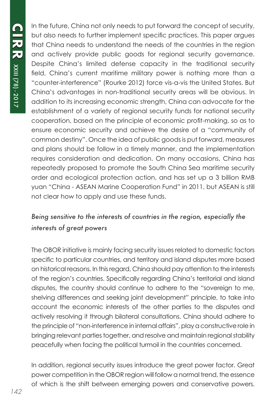In the future, China not only needs to put forward the concept of security, but also needs to further implement specific practices. This paper argues that China needs to understand the needs of the countries in the region and actively provide public goods for regional security governance. Despite China's limited defense capacity in the traditional security field, China's current maritime military power is nothing more than a "counter-interference" (Rourke 2012) force vis-a-vis the United States. But China's advantages in non-traditional security areas will be obvious. In addition to its increasing economic strength, China can advocate for the establishment of a variety of regional security funds for national security cooperation, based on the principle of economic profit-making, so as to ensure economic security and achieve the desire of a "community of common destiny". Once the idea of public goods is put forward, measures and plans should be follow in a timely manner, and the implementation requires consideration and dedication. On many occasions, China has repeatedly proposed to promote the South China Sea maritime security order and ecological protection action, and has set up a 3 billion RMB yuan "China - ASEAN Marine Cooperation Fund" in 2011, but ASEAN is still not clear how to apply and use these funds.

### *Being sensitive to the interests of countries in the region, especially the interests of great powers*

The OBOR initiative is mainly facing security issues related to domestic factors specific to particular countries, and territory and island disputes more based on historical reasons. In this regard, China should pay attention to the interests of the region's countries. Specifically regarding China's territorial and island disputes, the country should continue to adhere to the "sovereign to me, shelving differences and seeking joint development" principle, to take into account the economic interests of the other parties to the disputes and actively resolving it through bilateral consultations. China should adhere to the principle of "non-interference in internal affairs", play a constructive role in bringing relevant parties together, and resolve and maintain regional stability peacefully when facing the political turmoil in the countries concerned.

In addition, regional security issues introduce the great power factor. Great power competition in the OBOR region will follow a normal trend, the essence of which is the shift between emerging powers and conservative powers.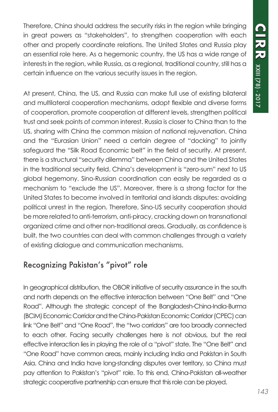Therefore, China should address the security risks in the region while bringing in great powers as "stakeholders", to strengthen cooperation with each other and properly coordinate relations. The United States and Russia play an essential role here. As a hegemonic country, the US has a wide range of interests in the region, while Russia, as a regional, traditional country, still has a certain influence on the various security issues in the region.

At present, China, the US, and Russia can make full use of existing bilateral and multilateral cooperation mechanisms, adopt flexible and diverse forms of cooperation, promote cooperation at different levels, strengthen political trust and seek points of common interest. Russia is closer to China than to the US, sharing with China the common mission of national rejuvenation. China and the "Eurasian Union" need a certain degree of "docking" to jointly safeguard the "Silk Road Economic belt" in the field of security. At present, there is a structural "security dilemma" between China and the United States in the traditional security field. China's development is "zero-sum" next to US global hegemony. Sino-Russian coordination can easily be regarded as a mechanism to "exclude the US". Moreover, there is a strong factor for the United States to become involved in territorial and islands disputes: avoiding political unrest in the region. Therefore, Sino-US security cooperation should be more related to anti-terrorism, anti-piracy, cracking down on transnational organized crime and other non-traditional areas. Gradually, as confidence is built, the two countries can deal with common challenges through a variety of existing dialogue and communication mechanisms.

### Recognizing Pakistan's "pivot" role

In geographical distribution, the OBOR initiative of security assurance in the south and north depends on the effective interaction between "One Belt" and "One Road". Although the strategic concept of the Bangladesh-China-India-Burma (BCIM) Economic Corridor and the China-Pakistan Economic Corridor (CPEC) can link "One Belt" and "One Road", the "two corridors" are too broadly connected to each other. Facing security challenges here is not obvious, but the real effective interaction lies in playing the role of a "pivot" state. The "One Belt" and "One Road" have common areas, mainly including India and Pakistan in South Asia. China and India have long-standing disputes over territory, so China must pay attention to Pakistan's "pivot" role. To this end, China-Pakistan all-weather strategic cooperative partnership can ensure that this role can be played.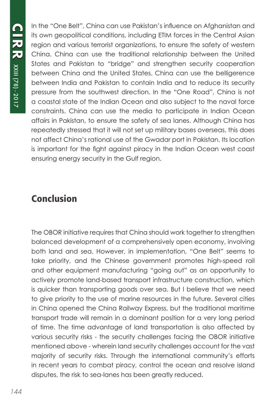In the "One Belt", China can use Pakistan's influence on Afghanistan and its own geopolitical conditions, including ETIM forces in the Central Asian region and various terrorist organizations, to ensure the safety of western China. China can use the traditional relationship between the United States and Pakistan to "bridge" and strengthen security cooperation between China and the United States. China can use the belligerence between India and Pakistan to contain India and to reduce its security pressure from the southwest direction. In the "One Road", China is not a coastal state of the Indian Ocean and also subject to the naval force constraints. China can use the media to participate in Indian Ocean affairs in Pakistan, to ensure the safety of sea lanes. Although China has repeatedly stressed that it will not set up military bases overseas, this does not affect China's rational use of the Gwadar port in Pakistan. Its location is important for the fight against piracy in the Indian Ocean west coast ensuring energy security in the Gulf region.

## Conclusion

The OBOR initiative requires that China should work together to strengthen balanced development of a comprehensively open economy, involving both land and sea. However, in implementation, "One Belt" seems to take priority, and the Chinese government promotes high-speed rail and other equipment manufacturing "going out" as an opportunity to actively promote land-based transport infrastructure construction, which is quicker than transporting goods over sea. But I believe that we need to give priority to the use of marine resources in the future. Several cities in China opened the China Railway Express, but the traditional maritime transport trade will remain in a dominant position for a very long period of time. The time advantage of land transportation is also affected by various security risks - the security challenges facing the OBOR initiative mentioned above - wherein land security challenges account for the vast majority of security risks. Through the international community's efforts in recent years to combat piracy, control the ocean and resolve island disputes, the risk to sea-lanes has been greatly reduced.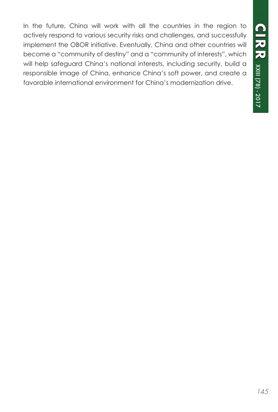CIRR XXIII (78) -2017  $V = 2012$ 

In the future, China will work with all the countries in the region to actively respond to various security risks and challenges, and successfully implement the OBOR initiative. Eventually, China and other countries will become a "community of destiny" and a "community of interests", which will help safeguard China's national interests, including security, build a responsible image of China, enhance China's soft power, and create a favorable international environment for China's modernization drive.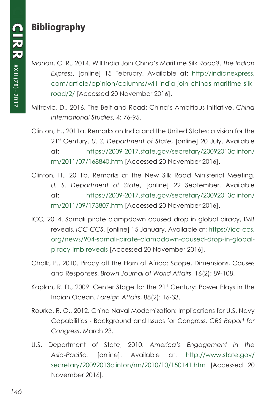# Bibliography

- Mohan, C. R., 2014. Will India Join China's Maritime Silk Road?. *The Indian Express*, [online] 15 February. Available at: [http://indianexpress.](http://indianexpress.com/article/opinion/columns/will-india-join-chinas-maritime-silk-road/2/) [com/article/opinion/columns/will-india-join-chinas-maritime-silk](http://indianexpress.com/article/opinion/columns/will-india-join-chinas-maritime-silk-road/2/)[road/2/](http://indianexpress.com/article/opinion/columns/will-india-join-chinas-maritime-silk-road/2/) [Accessed 20 November 2016].
- Mitrovic, D., 2016. The Belt and Road: China's Ambitious Initiative. *China International Studies*, 4: 76-95.
- Clinton, H., 2011a. Remarks on India and the United States: a vision for the 21st Century. *U. S. Department of State*, [online] 20 July. Available at: [https://2009-2017.state.gov/secretary/20092013clinton/](https://2009-2017.state.gov/secretary/20092013clinton/rm/2011/07/168840.htm) [rm/2011/07/168840.htm](https://2009-2017.state.gov/secretary/20092013clinton/rm/2011/07/168840.htm) [Accessed 20 November 2016].
- Clinton, H., 2011b. Remarks at the New Silk Road Ministerial Meeting. *U. S. Department of State*, [online] 22 September. Available at: [https://2009-2017.state.gov/secretary/20092013clinton/](https://2009-2017.state.gov/secretary/20092013clinton/rm/2011/09/173807.htm) [rm/2011/09/173807.htm](https://2009-2017.state.gov/secretary/20092013clinton/rm/2011/09/173807.htm) [Accessed 20 November 2016].
- ICC, 2014. Somali pirate clampdown caused drop in global piracy, IMB reveals. *ICC-CCS*, [online] 15 January. Available at: https://icc-ccs. org/news/904-somali-pirate-clampdown-caused-drop-in-globalpiracy-imb-reveals [Accessed 20 November 2016].
- Chalk, P., 2010. Piracy off the Horn of Africa: Scope, Dimensions, Causes and Responses. *Brown Journal of World Affairs*, 16(2): 89-108.
- Kaplan, R. D., 2009. Center Stage for the 21<sup>st</sup> Century: Power Plays in the Indian Ocean. *Foreign Affairs*, 88(2): 16-33.
- Rourke, R. O., 2012. China Naval Modernization: Implications for U.S. Navy Capabilities - Background and Issues for Congress. *CRS Report for Congress*, March 23.
- U.S. Department of State, 2010. *America's Engagement in the Asia-Pacific.* [online]. Available at: [http://www.state.gov/](http://www.state.gov/secretary/20092013clinton/rm/2010/10/150141.htm) [secretary/20092013clinton/rm/2010/10/150141.htm](http://www.state.gov/secretary/20092013clinton/rm/2010/10/150141.htm) [Accessed 20 November 2016].